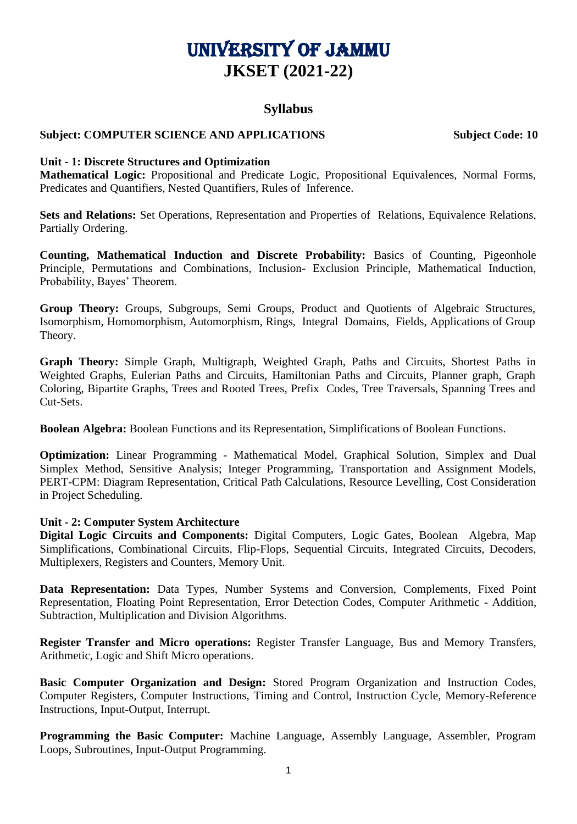# University of Jammu **JKSET (2021-22)**

## **Syllabus**

## **Subject: COMPUTER SCIENCE AND APPLICATIONS Subject Code: 10**

#### **Unit - 1: Discrete Structures and Optimization**

**Mathematical Logic:** Propositional and Predicate Logic, Propositional Equivalences, Normal Forms, Predicates and Quantifiers, Nested Quantifiers, Rules of Inference.

**Sets and Relations:** Set Operations, Representation and Properties of Relations, Equivalence Relations, Partially Ordering.

**Counting, Mathematical Induction and Discrete Probability:** Basics of Counting, Pigeonhole Principle, Permutations and Combinations, Inclusion- Exclusion Principle, Mathematical Induction, Probability, Bayes' Theorem.

**Group Theory:** Groups, Subgroups, Semi Groups, Product and Quotients of Algebraic Structures, Isomorphism, Homomorphism, Automorphism, Rings, Integral Domains, Fields, Applications of Group Theory.

**Graph Theory:** Simple Graph, Multigraph, Weighted Graph, Paths and Circuits, Shortest Paths in Weighted Graphs, Eulerian Paths and Circuits, Hamiltonian Paths and Circuits, Planner graph, Graph Coloring, Bipartite Graphs, Trees and Rooted Trees, Prefix Codes, Tree Traversals, Spanning Trees and Cut-Sets.

**Boolean Algebra:** Boolean Functions and its Representation, Simplifications of Boolean Functions.

**Optimization:** Linear Programming - Mathematical Model, Graphical Solution, Simplex and Dual Simplex Method, Sensitive Analysis; Integer Programming, Transportation and Assignment Models, PERT-CPM: Diagram Representation, Critical Path Calculations, Resource Levelling, Cost Consideration in Project Scheduling.

#### **Unit - 2: Computer System Architecture**

**Digital Logic Circuits and Components:** Digital Computers, Logic Gates, Boolean Algebra, Map Simplifications, Combinational Circuits, Flip-Flops, Sequential Circuits, Integrated Circuits, Decoders, Multiplexers, Registers and Counters, Memory Unit.

Data Representation: Data Types, Number Systems and Conversion, Complements, Fixed Point Representation, Floating Point Representation, Error Detection Codes, Computer Arithmetic - Addition, Subtraction, Multiplication and Division Algorithms.

**Register Transfer and Micro operations:** Register Transfer Language, Bus and Memory Transfers, Arithmetic, Logic and Shift Micro operations.

**Basic Computer Organization and Design:** Stored Program Organization and Instruction Codes, Computer Registers, Computer Instructions, Timing and Control, Instruction Cycle, Memory-Reference Instructions, Input-Output, Interrupt.

**Programming the Basic Computer:** Machine Language, Assembly Language, Assembler, Program Loops, Subroutines, Input-Output Programming.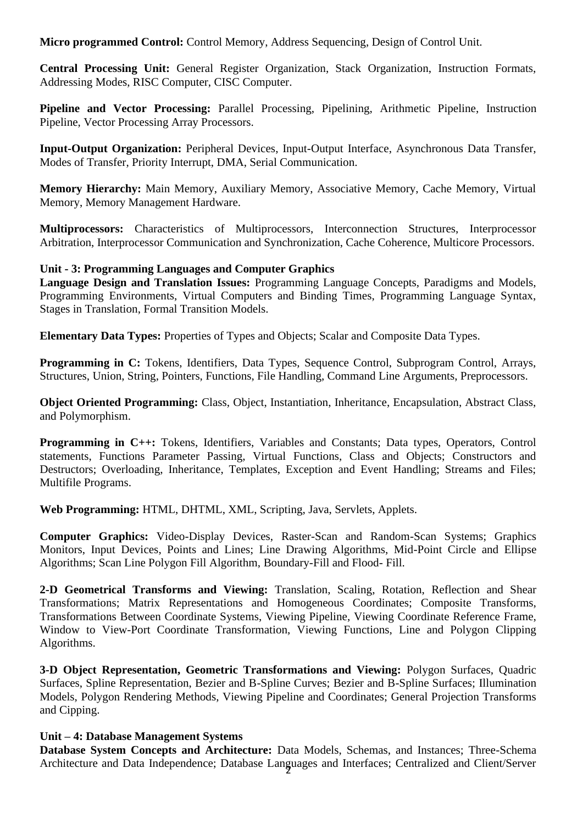**Micro programmed Control:** Control Memory, Address Sequencing, Design of Control Unit.

**Central Processing Unit:** General Register Organization, Stack Organization, Instruction Formats, Addressing Modes, RISC Computer, CISC Computer.

**Pipeline and Vector Processing:** Parallel Processing, Pipelining, Arithmetic Pipeline, Instruction Pipeline, Vector Processing Array Processors.

**Input-Output Organization:** Peripheral Devices, Input-Output Interface, Asynchronous Data Transfer, Modes of Transfer, Priority Interrupt, DMA, Serial Communication.

**Memory Hierarchy:** Main Memory, Auxiliary Memory, Associative Memory, Cache Memory, Virtual Memory, Memory Management Hardware.

**Multiprocessors:** Characteristics of Multiprocessors, Interconnection Structures, Interprocessor Arbitration, Interprocessor Communication and Synchronization, Cache Coherence, Multicore Processors.

#### **Unit - 3: Programming Languages and Computer Graphics**

**Language Design and Translation Issues:** Programming Language Concepts, Paradigms and Models, Programming Environments, Virtual Computers and Binding Times, Programming Language Syntax, Stages in Translation, Formal Transition Models.

**Elementary Data Types:** Properties of Types and Objects; Scalar and Composite Data Types.

**Programming in C:** Tokens, Identifiers, Data Types, Sequence Control, Subprogram Control, Arrays, Structures, Union, String, Pointers, Functions, File Handling, Command Line Arguments, Preprocessors.

**Object Oriented Programming:** Class, Object, Instantiation, Inheritance, Encapsulation, Abstract Class, and Polymorphism.

**Programming in C++:** Tokens, Identifiers, Variables and Constants; Data types, Operators, Control statements, Functions Parameter Passing, Virtual Functions, Class and Objects; Constructors and Destructors; Overloading, Inheritance, Templates, Exception and Event Handling; Streams and Files; Multifile Programs.

**Web Programming:** HTML, DHTML, XML, Scripting, Java, Servlets, Applets.

**Computer Graphics:** Video-Display Devices, Raster-Scan and Random-Scan Systems; Graphics Monitors, Input Devices, Points and Lines; Line Drawing Algorithms, Mid-Point Circle and Ellipse Algorithms; Scan Line Polygon Fill Algorithm, Boundary-Fill and Flood- Fill.

**2-D Geometrical Transforms and Viewing:** Translation, Scaling, Rotation, Reflection and Shear Transformations; Matrix Representations and Homogeneous Coordinates; Composite Transforms, Transformations Between Coordinate Systems, Viewing Pipeline, Viewing Coordinate Reference Frame, Window to View-Port Coordinate Transformation, Viewing Functions, Line and Polygon Clipping Algorithms.

**3-D Object Representation, Geometric Transformations and Viewing:** Polygon Surfaces, Quadric Surfaces, Spline Representation, Bezier and B-Spline Curves; Bezier and B-Spline Surfaces; Illumination Models, Polygon Rendering Methods, Viewing Pipeline and Coordinates; General Projection Transforms and Cipping.

#### **Unit – 4: Database Management Systems**

2 Architecture and Data Independence; Database Languages and Interfaces; Centralized and Client/Server **Database System Concepts and Architecture:** Data Models, Schemas, and Instances; Three-Schema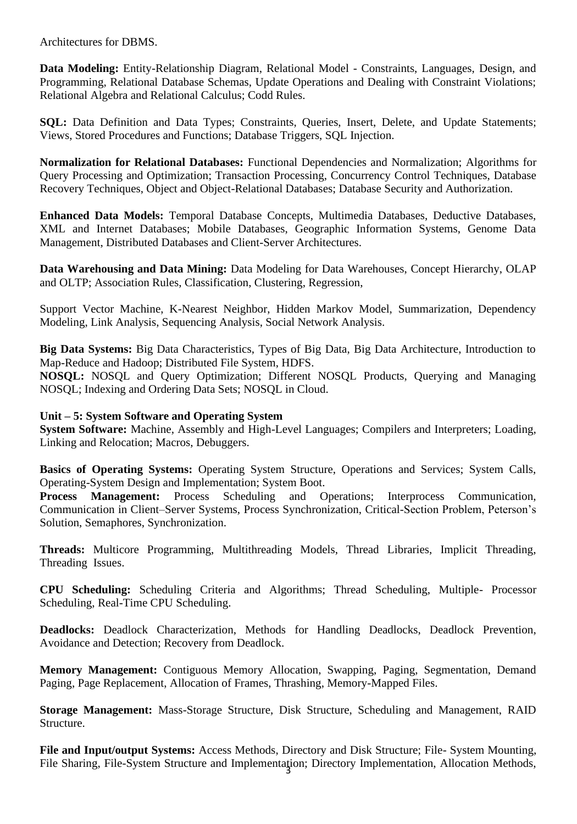Architectures for DBMS.

**Data Modeling:** Entity-Relationship Diagram, Relational Model - Constraints, Languages, Design, and Programming, Relational Database Schemas, Update Operations and Dealing with Constraint Violations; Relational Algebra and Relational Calculus; Codd Rules.

**SQL:** Data Definition and Data Types; Constraints, Queries, Insert, Delete, and Update Statements; Views, Stored Procedures and Functions; Database Triggers, SQL Injection.

**Normalization for Relational Databases:** Functional Dependencies and Normalization; Algorithms for Query Processing and Optimization; Transaction Processing, Concurrency Control Techniques, Database Recovery Techniques, Object and Object-Relational Databases; Database Security and Authorization.

**Enhanced Data Models:** Temporal Database Concepts, Multimedia Databases, Deductive Databases, XML and Internet Databases; Mobile Databases, Geographic Information Systems, Genome Data Management, Distributed Databases and Client-Server Architectures.

**Data Warehousing and Data Mining:** Data Modeling for Data Warehouses, Concept Hierarchy, OLAP and OLTP; Association Rules, Classification, Clustering, Regression,

Support Vector Machine, K-Nearest Neighbor, Hidden Markov Model, Summarization, Dependency Modeling, Link Analysis, Sequencing Analysis, Social Network Analysis.

**Big Data Systems:** Big Data Characteristics, Types of Big Data, Big Data Architecture, Introduction to Map-Reduce and Hadoop; Distributed File System, HDFS.

**NOSQL:** NOSQL and Query Optimization; Different NOSQL Products, Querying and Managing NOSQL; Indexing and Ordering Data Sets; NOSQL in Cloud.

### **Unit – 5: System Software and Operating System**

**System Software:** Machine, Assembly and High-Level Languages; Compilers and Interpreters; Loading, Linking and Relocation; Macros, Debuggers.

**Basics of Operating Systems:** Operating System Structure, Operations and Services; System Calls, Operating-System Design and Implementation; System Boot.

**Process Management:** Process Scheduling and Operations; Interprocess Communication, Communication in Client–Server Systems, Process Synchronization, Critical-Section Problem, Peterson's Solution, Semaphores, Synchronization.

**Threads:** Multicore Programming, Multithreading Models, Thread Libraries, Implicit Threading, Threading Issues.

**CPU Scheduling:** Scheduling Criteria and Algorithms; Thread Scheduling, Multiple- Processor Scheduling, Real-Time CPU Scheduling.

Deadlocks: Deadlock Characterization, Methods for Handling Deadlocks, Deadlock Prevention, Avoidance and Detection; Recovery from Deadlock.

**Memory Management:** Contiguous Memory Allocation, Swapping, Paging, Segmentation, Demand Paging, Page Replacement, Allocation of Frames, Thrashing, Memory-Mapped Files.

**Storage Management:** Mass-Storage Structure, Disk Structure, Scheduling and Management, RAID Structure.

File Sharing, File-System Structure and Implementation; Directory Implementation, Allocation Methods, **File and Input/output Systems:** Access Methods, Directory and Disk Structure; File- System Mounting,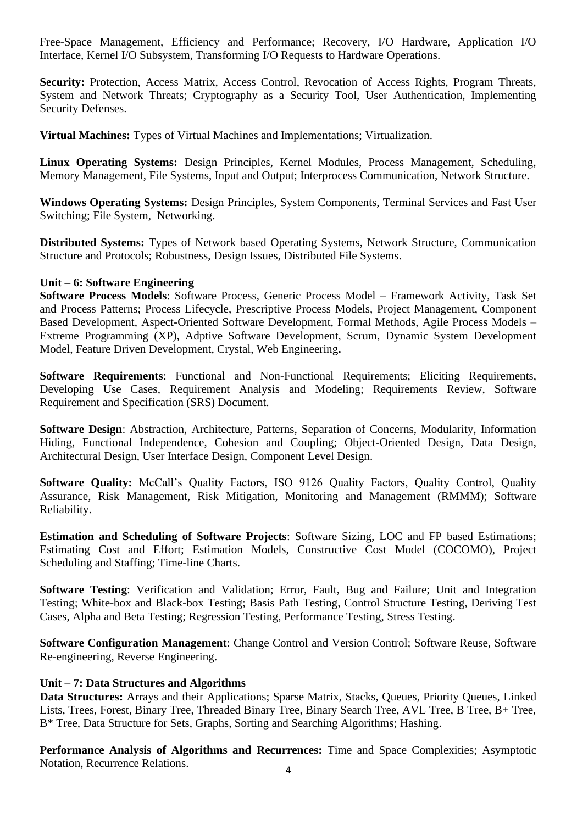Free-Space Management, Efficiency and Performance; Recovery, I/O Hardware, Application I/O Interface, Kernel I/O Subsystem, Transforming I/O Requests to Hardware Operations.

Security: Protection, Access Matrix, Access Control, Revocation of Access Rights, Program Threats, System and Network Threats; Cryptography as a Security Tool, User Authentication, Implementing Security Defenses.

**Virtual Machines:** Types of Virtual Machines and Implementations; Virtualization.

**Linux Operating Systems:** Design Principles, Kernel Modules, Process Management, Scheduling, Memory Management, File Systems, Input and Output; Interprocess Communication, Network Structure.

**Windows Operating Systems:** Design Principles, System Components, Terminal Services and Fast User Switching; File System, Networking.

**Distributed Systems:** Types of Network based Operating Systems, Network Structure, Communication Structure and Protocols; Robustness, Design Issues, Distributed File Systems.

#### **Unit – 6: Software Engineering**

**Software Process Models**: Software Process, Generic Process Model – Framework Activity, Task Set and Process Patterns; Process Lifecycle, Prescriptive Process Models, Project Management, Component Based Development, Aspect-Oriented Software Development, Formal Methods, Agile Process Models – Extreme Programming (XP), Adptive Software Development, Scrum, Dynamic System Development Model, Feature Driven Development, Crystal, Web Engineering**.**

**Software Requirements**: Functional and Non-Functional Requirements; Eliciting Requirements, Developing Use Cases, Requirement Analysis and Modeling; Requirements Review, Software Requirement and Specification (SRS) Document.

**Software Design**: Abstraction, Architecture, Patterns, Separation of Concerns, Modularity, Information Hiding, Functional Independence, Cohesion and Coupling; Object-Oriented Design, Data Design, Architectural Design, User Interface Design, Component Level Design.

Software Quality: McCall's Quality Factors, ISO 9126 Quality Factors, Quality Control, Quality Assurance, Risk Management, Risk Mitigation, Monitoring and Management (RMMM); Software Reliability.

**Estimation and Scheduling of Software Projects**: Software Sizing, LOC and FP based Estimations; Estimating Cost and Effort; Estimation Models, Constructive Cost Model (COCOMO), Project Scheduling and Staffing; Time-line Charts.

**Software Testing**: Verification and Validation; Error, Fault, Bug and Failure; Unit and Integration Testing; White-box and Black-box Testing; Basis Path Testing, Control Structure Testing, Deriving Test Cases, Alpha and Beta Testing; Regression Testing, Performance Testing, Stress Testing.

**Software Configuration Management**: Change Control and Version Control; Software Reuse, Software Re-engineering, Reverse Engineering.

### **Unit – 7: Data Structures and Algorithms**

**Data Structures:** Arrays and their Applications; Sparse Matrix, Stacks, Queues, Priority Queues, Linked Lists, Trees, Forest, Binary Tree, Threaded Binary Tree, Binary Search Tree, AVL Tree, B Tree, B+ Tree, B\* Tree, Data Structure for Sets, Graphs, Sorting and Searching Algorithms; Hashing.

**Performance Analysis of Algorithms and Recurrences:** Time and Space Complexities; Asymptotic Notation, Recurrence Relations.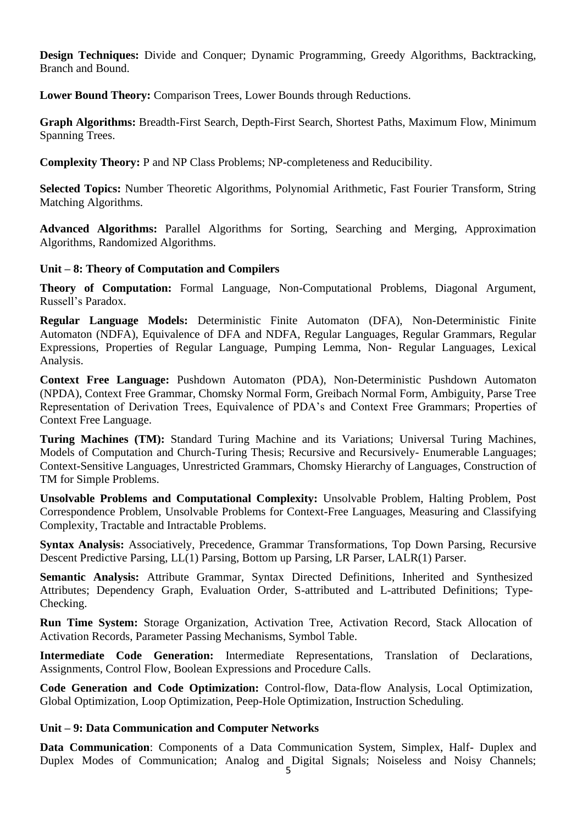**Design Techniques:** Divide and Conquer; Dynamic Programming, Greedy Algorithms, Backtracking, Branch and Bound.

**Lower Bound Theory:** Comparison Trees, Lower Bounds through Reductions.

**Graph Algorithms:** Breadth-First Search, Depth-First Search, Shortest Paths, Maximum Flow, Minimum Spanning Trees.

**Complexity Theory:** P and NP Class Problems; NP-completeness and Reducibility.

**Selected Topics:** Number Theoretic Algorithms, Polynomial Arithmetic, Fast Fourier Transform, String Matching Algorithms.

**Advanced Algorithms:** Parallel Algorithms for Sorting, Searching and Merging, Approximation Algorithms, Randomized Algorithms.

## **Unit – 8: Theory of Computation and Compilers**

**Theory of Computation:** Formal Language, Non-Computational Problems, Diagonal Argument, Russell's Paradox.

**Regular Language Models:** Deterministic Finite Automaton (DFA), Non-Deterministic Finite Automaton (NDFA), Equivalence of DFA and NDFA, Regular Languages, Regular Grammars, Regular Expressions, Properties of Regular Language, Pumping Lemma, Non- Regular Languages, Lexical Analysis.

**Context Free Language:** Pushdown Automaton (PDA), Non-Deterministic Pushdown Automaton (NPDA), Context Free Grammar, Chomsky Normal Form, Greibach Normal Form, Ambiguity, Parse Tree Representation of Derivation Trees, Equivalence of PDA's and Context Free Grammars; Properties of Context Free Language.

**Turing Machines (TM):** Standard Turing Machine and its Variations; Universal Turing Machines, Models of Computation and Church-Turing Thesis; Recursive and Recursively- Enumerable Languages; Context-Sensitive Languages, Unrestricted Grammars, Chomsky Hierarchy of Languages, Construction of TM for Simple Problems.

**Unsolvable Problems and Computational Complexity:** Unsolvable Problem, Halting Problem, Post Correspondence Problem, Unsolvable Problems for Context-Free Languages, Measuring and Classifying Complexity, Tractable and Intractable Problems.

**Syntax Analysis:** Associatively, Precedence, Grammar Transformations, Top Down Parsing, Recursive Descent Predictive Parsing, LL(1) Parsing, Bottom up Parsing, LR Parser, LALR(1) Parser.

**Semantic Analysis:** Attribute Grammar, Syntax Directed Definitions, Inherited and Synthesized Attributes; Dependency Graph, Evaluation Order, S-attributed and L-attributed Definitions; Type-Checking.

**Run Time System:** Storage Organization, Activation Tree, Activation Record, Stack Allocation of Activation Records, Parameter Passing Mechanisms, Symbol Table.

**Intermediate Code Generation:** Intermediate Representations, Translation of Declarations, Assignments, Control Flow, Boolean Expressions and Procedure Calls.

**Code Generation and Code Optimization:** Control-flow, Data-flow Analysis, Local Optimization, Global Optimization, Loop Optimization, Peep-Hole Optimization, Instruction Scheduling.

#### **Unit – 9: Data Communication and Computer Networks**

**Data Communication**: Components of a Data Communication System, Simplex, Half- Duplex and Duplex Modes of Communication; Analog and Digital Signals; Noiseless and Noisy Channels;